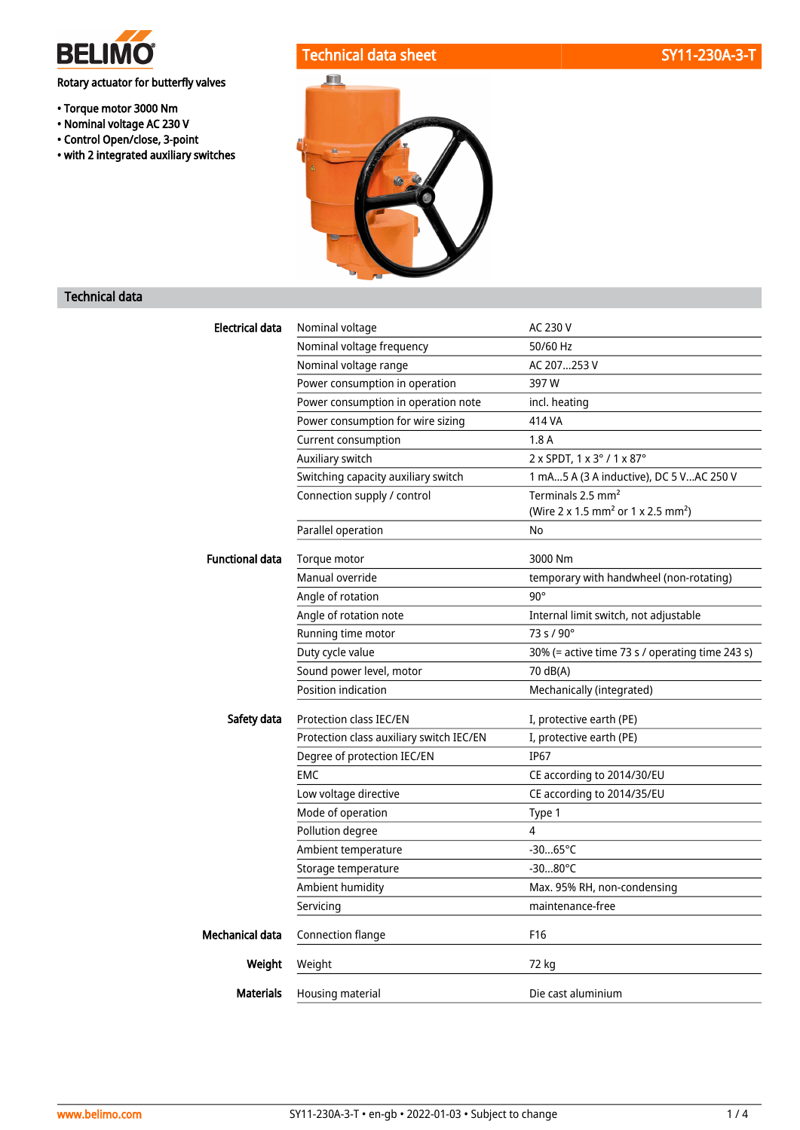

Rotary actuator for butterfly valves

- Torque motor 3000 Nm
- Nominal voltage AC 230 V
- Control Open/close, 3-point
- with 2 integrated auxiliary switches

# Technical data sheet SY11-230A-3-T



### Technical data

| Electrical data        | Nominal voltage                          | AC 230 V                                                                                    |
|------------------------|------------------------------------------|---------------------------------------------------------------------------------------------|
|                        | Nominal voltage frequency                | 50/60 Hz                                                                                    |
|                        | Nominal voltage range                    | AC 207253 V                                                                                 |
|                        | Power consumption in operation           | 397W                                                                                        |
|                        | Power consumption in operation note      | incl. heating                                                                               |
|                        | Power consumption for wire sizing        | 414 VA                                                                                      |
|                        | Current consumption                      | 1.8A                                                                                        |
|                        | Auxiliary switch                         | 2 x SPDT, 1 x 3° / 1 x 87°                                                                  |
|                        | Switching capacity auxiliary switch      | 1 mA5 A (3 A inductive), DC 5 VAC 250 V                                                     |
|                        | Connection supply / control              | Terminals 2.5 mm <sup>2</sup><br>(Wire 2 x 1.5 mm <sup>2</sup> or 1 x 2.5 mm <sup>2</sup> ) |
|                        | Parallel operation                       | No                                                                                          |
| <b>Functional data</b> | Torque motor                             | 3000 Nm                                                                                     |
|                        | Manual override                          | temporary with handwheel (non-rotating)                                                     |
|                        | Angle of rotation                        | $90^\circ$                                                                                  |
|                        | Angle of rotation note                   | Internal limit switch, not adjustable                                                       |
|                        | Running time motor                       | $73 s / 90^{\circ}$                                                                         |
|                        | Duty cycle value                         | 30% (= active time 73 s / operating time 243 s)                                             |
|                        | Sound power level, motor                 | 70 dB(A)                                                                                    |
|                        | Position indication                      | Mechanically (integrated)                                                                   |
| Safety data            | Protection class IEC/EN                  | I, protective earth (PE)                                                                    |
|                        | Protection class auxiliary switch IEC/EN | I, protective earth (PE)                                                                    |
|                        | Degree of protection IEC/EN              | <b>IP67</b>                                                                                 |
|                        | <b>EMC</b>                               | CE according to 2014/30/EU                                                                  |
|                        | Low voltage directive                    | CE according to 2014/35/EU                                                                  |
|                        | Mode of operation                        | Type 1                                                                                      |
|                        | Pollution degree                         | 4                                                                                           |
|                        | Ambient temperature                      | $-3065^{\circ}C$                                                                            |
|                        | Storage temperature                      | $-3080^{\circ}$ C                                                                           |
|                        | Ambient humidity                         | Max. 95% RH, non-condensing                                                                 |
|                        | Servicing                                | maintenance-free                                                                            |
| Mechanical data        | <b>Connection flange</b>                 | F16                                                                                         |
| Weight                 | Weight                                   | 72 kg                                                                                       |
| <b>Materials</b>       | Housing material                         | Die cast aluminium                                                                          |
|                        |                                          |                                                                                             |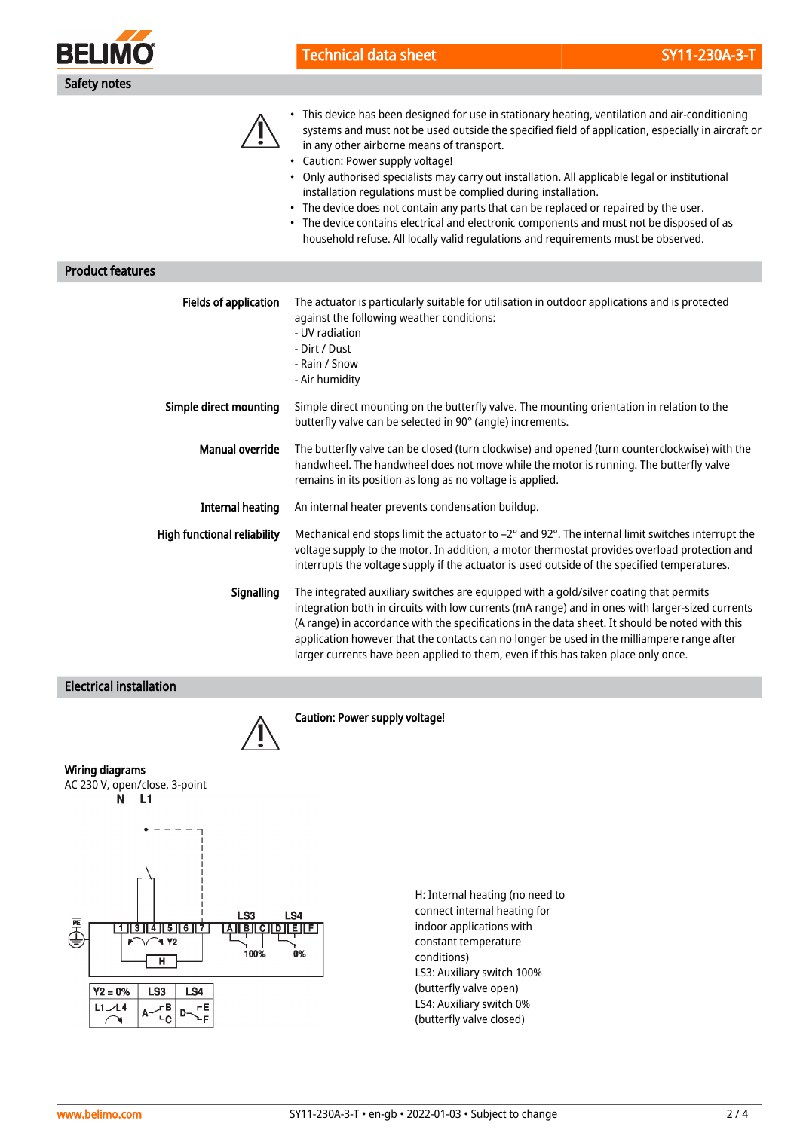

**Product featur** 

Technical data sheet SY11-230A-3-T

 $\bigwedge$ 

|                                    | systems and must not be used outside the specified field of application, especially in aircraft or<br>in any other airborne means of transport.<br>• Caution: Power supply voltage!<br>• Only authorised specialists may carry out installation. All applicable legal or institutional<br>installation regulations must be complied during installation.<br>• The device does not contain any parts that can be replaced or repaired by the user.<br>• The device contains electrical and electronic components and must not be disposed of as<br>household refuse. All locally valid regulations and requirements must be observed. |
|------------------------------------|--------------------------------------------------------------------------------------------------------------------------------------------------------------------------------------------------------------------------------------------------------------------------------------------------------------------------------------------------------------------------------------------------------------------------------------------------------------------------------------------------------------------------------------------------------------------------------------------------------------------------------------|
| es                                 |                                                                                                                                                                                                                                                                                                                                                                                                                                                                                                                                                                                                                                      |
| Fields of application              | The actuator is particularly suitable for utilisation in outdoor applications and is protected<br>against the following weather conditions:<br>- UV radiation<br>- Dirt / Dust<br>- Rain / Snow<br>- Air humidity                                                                                                                                                                                                                                                                                                                                                                                                                    |
| Simple direct mounting             | Simple direct mounting on the butterfly valve. The mounting orientation in relation to the<br>butterfly valve can be selected in 90° (angle) increments.                                                                                                                                                                                                                                                                                                                                                                                                                                                                             |
| <b>Manual override</b>             | The butterfly valve can be closed (turn clockwise) and opened (turn counterclockwise) with the<br>handwheel. The handwheel does not move while the motor is running. The butterfly valve<br>remains in its position as long as no voltage is applied.                                                                                                                                                                                                                                                                                                                                                                                |
| <b>Internal heating</b>            | An internal heater prevents condensation buildup.                                                                                                                                                                                                                                                                                                                                                                                                                                                                                                                                                                                    |
| <b>High functional reliability</b> | Mechanical end stops limit the actuator to -2° and 92°. The internal limit switches interrupt the<br>voltage supply to the motor. In addition, a motor thermostat provides overload protection and<br>interrupts the voltage supply if the actuator is used outside of the specified temperatures.                                                                                                                                                                                                                                                                                                                                   |
| Signalling                         | The integrated auxiliary switches are equipped with a gold/silver coating that permits                                                                                                                                                                                                                                                                                                                                                                                                                                                                                                                                               |

integration both in circuits with low currents (mA range) and in ones with larger-sized currents (A range) in accordance with the specifications in the data sheet. It should be noted with this application however that the contacts can no longer be used in the milliampere range after larger currents have been applied to them, even if this has taken place only once.

• This device has been designed for use in stationary heating, ventilation and air-conditioning

### Electrical installation



Caution: Power supply voltage!



H: Internal heating (no need to connect internal heating for indoor applications with constant temperature conditions) LS3: Auxiliary switch 100% (butterfly valve open) LS4: Auxiliary switch 0% (butterfly valve closed)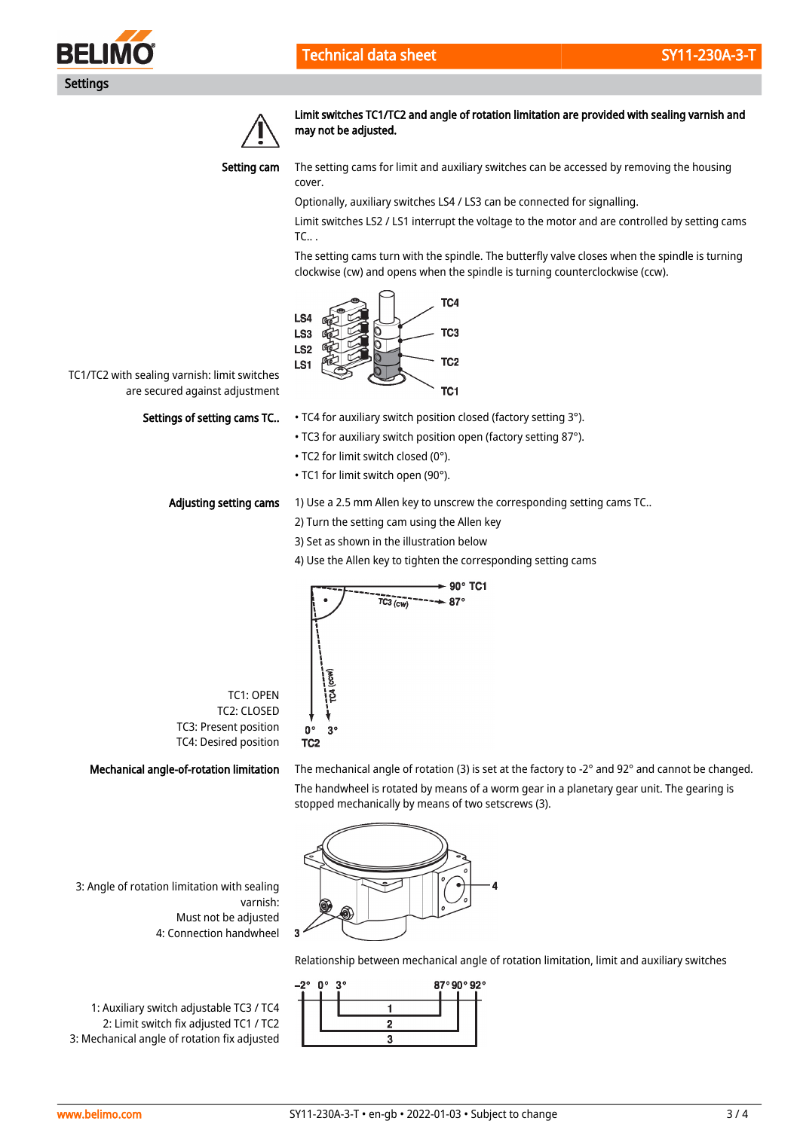



Limit switches TC1/TC2 and angle of rotation limitation are provided with sealing varnish and may not be adjusted.



The setting cams for limit and auxiliary switches can be accessed by removing the housing cover.

Optionally, auxiliary switches LS4 / LS3 can be connected for signalling.

Limit switches LS2 / LS1 interrupt the voltage to the motor and are controlled by setting cams TC.. .

The setting cams turn with the spindle. The butterfly valve closes when the spindle is turning clockwise (cw) and opens when the spindle is turning counterclockwise (ccw).



TC1/TC2 with sealing varnish: limit switches are secured against adjustment

### Settings of setting cams TC..

- TC4 for auxiliary switch position closed (factory setting 3°).
- TC3 for auxiliary switch position open (factory setting 87°).
- TC2 for limit switch closed (0°).
- TC1 for limit switch open (90°).

#### Adjusting setting cams

TC1: OPEN TC2: CLOSED TC3: Present position TC4: Desired position

- 1) Use a 2.5 mm Allen key to unscrew the corresponding setting cams TC..
	- 2) Turn the setting cam using the Allen key
	- 3) Set as shown in the illustration below
	- 4) Use the Allen key to tighten the corresponding setting cams



Mechanical angle-of-rotation limitation

The mechanical angle of rotation (3) is set at the factory to -2° and 92° and cannot be changed. The handwheel is rotated by means of a worm gear in a planetary gear unit. The gearing is stopped mechanically by means of two setscrews (3).



Relationship between mechanical angle of rotation limitation, limit and auxiliary switches



3: Angle of rotation limitation with sealing varnish: Must not be adjusted 4: Connection handwheel

1: Auxiliary switch adjustable TC3 / TC4 2: Limit switch fix adjusted TC1 / TC2 3: Mechanical angle of rotation fix adjusted